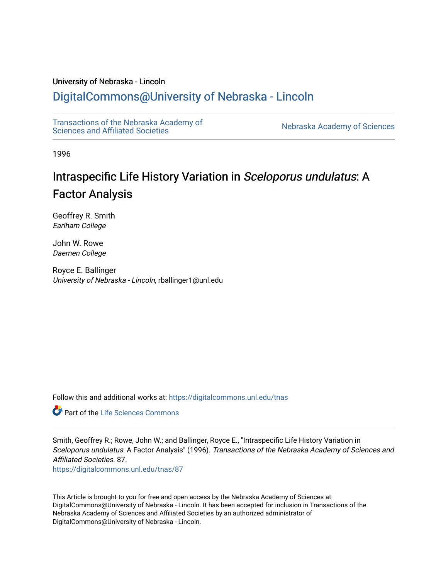# University of Nebraska - Lincoln

# [DigitalCommons@University of Nebraska - Lincoln](https://digitalcommons.unl.edu/)

[Transactions of the Nebraska Academy of](https://digitalcommons.unl.edu/tnas)  Transactions of the Nebraska Academy of Sciences<br>Sciences and Affiliated Societies

1996

# Intraspecific Life History Variation in Sceloporus undulatus: A Factor Analysis

Geoffrey R. Smith Earlham College

John W. Rowe Daemen College

Royce E. Ballinger University of Nebraska - Lincoln, rballinger1@unl.edu

Follow this and additional works at: [https://digitalcommons.unl.edu/tnas](https://digitalcommons.unl.edu/tnas?utm_source=digitalcommons.unl.edu%2Ftnas%2F87&utm_medium=PDF&utm_campaign=PDFCoverPages) 

**C** Part of the Life Sciences Commons

Smith, Geoffrey R.; Rowe, John W.; and Ballinger, Royce E., "Intraspecific Life History Variation in Sceloporus undulatus: A Factor Analysis" (1996). Transactions of the Nebraska Academy of Sciences and Affiliated Societies. 87.

[https://digitalcommons.unl.edu/tnas/87](https://digitalcommons.unl.edu/tnas/87?utm_source=digitalcommons.unl.edu%2Ftnas%2F87&utm_medium=PDF&utm_campaign=PDFCoverPages)

This Article is brought to you for free and open access by the Nebraska Academy of Sciences at DigitalCommons@University of Nebraska - Lincoln. It has been accepted for inclusion in Transactions of the Nebraska Academy of Sciences and Affiliated Societies by an authorized administrator of DigitalCommons@University of Nebraska - Lincoln.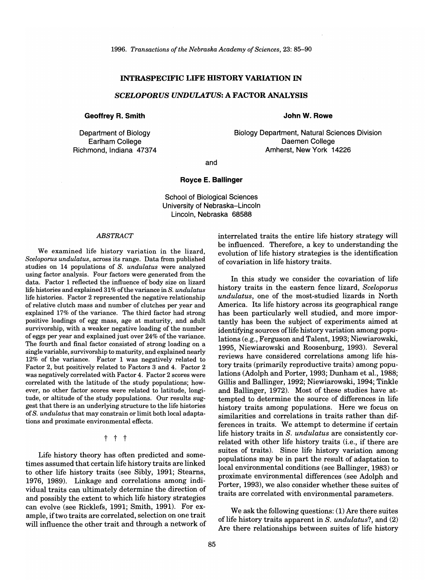# INTRASPECIFIC LIFE HISTORY VARIATION IN

# *SCELOPORUS UNDULATUS:* A FACTOR ANALYSIS

#### Geoffrey R. Smith

Department of Biology Earlham College Richmond, Indiana 47374

#### John W. Rowe

Biology Department, Natural Sciences Division Daemen College Amherst, New York 14226

and

#### Royce E. Ballinger

School of Biological Sciences University of Nebraska-Lincoln Lincoln, Nebraska 68588

#### *ABSTRACT*

We examined life history variation in the lizard, *Sceloporus undulatus,* across its range. Data from published studies on 14 populations of S. *undulatus* were analyzed using factor analysis. Four factors were generated from the data. Factor 1 reflected the influence of body size on lizard life histories and explained 31% of the variance in S. *undulatus* life histories. Factor 2 represented the negative relationship of relative clutch mass and number of clutches per year and explained 17% of the variance. The third factor had strong positive loadings of egg mass, age at maturity, and adult survivorship, with a weaker negative loading of the number of eggs per year and explained just over 24% of the variance. The fourth and final factor consisted of strong loading on a single variable, survivorship to maturity, and explained nearly 12% of the variance. Factor 1 was negatively related to Factor 2, but positively related to Factors 3 and 4. Factor 2 was negatively correlated with Factor 4. Factor 2 scores were correlated with the latitude of the study populations; however, no other factor scores were related to latitude, longitude, or altitude of the study populations. Our results suggest that there is an underlying structure to the life histories of S. *undulatus* that may constrain or limit both local adaptations and proximate environmental effects.

#### t t t

Life history theory has often predicted and sometimes assumed that certain life history traits are linked to other life history traits (see Sibly, 1991; Stearns, 1976, 1989). Linkage and correlations among individual traits can ultimately determine the direction of and possibly the extent to which life history strategies can evolve (see Ricklefs, 1991; Smith, 1991). For example, if two traits are correlated, selection on one trait will influence the other trait and through a network of interrelated traits the entire life history strategy will be influenced. Therefore, a key to understanding the evolution of life history strategies is the identification of covariation in life history traits.

In this study we consider the covariation of life history traits in the eastern fence lizard, *Sceloporus undulatus,* one of the most-studied lizards in North America. Its life history across its geographical range has been particularly well studied, and more importantly has been the subject of experiments aimed at identifying sources of life history variation among populations (e.g., Ferguson and Talent, 1993; Niewiarowski, 1995, Niewiarowski and Roosenburg, 1993). Several reviews have considered correlations among life history traits (primarily reproductive traits) among populations (Adolph and Porter, 1993; Dunham et aI., 1988; Gillis and Ballinger, 1992; Niewiarowski, 1994; Tinkle and Ballinger, 1972). Most of these studies have attempted to determine the source of differences in life history traits among populations. Here we focus on similarities and correlations in traits rather than differences in traits. We attempt to determine if certain life history traits in *S. undulatus* are consistently correlated with other life history traits (i.e., if there are suites of traits). Since life history variation among populations may be in part the result of adaptation to local environmental conditions (see Ballinger, 1983) or proximate environmental differences (see Adolph and Porter, 1993), we also consider whether these suites of traits are correlated with environmental parameters.

We ask the following questions: (1) Are there suites of life history traits apparent in *S. undulatus*?, and (2) Are there relationships between suites of life history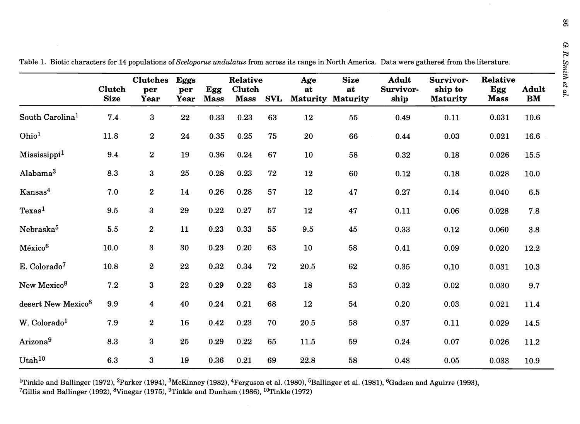|                                | <b>Clutch</b><br><b>Size</b> | <b>Clutches</b><br>per<br>Year | <b>Eggs</b><br>per<br>Year | Egg<br><b>Mass</b> | Relative<br>Clutch<br><b>Mass</b> | <b>SVL</b> | Age<br>at<br><b>Maturity</b> | <b>Size</b><br>at<br><b>Maturity</b> | <b>Adult</b><br>Survivor-<br>ship | Survivor-<br>ship to<br><b>Maturity</b> | Relative<br>Egg<br><b>Mass</b> | <b>Adult</b><br>BM |
|--------------------------------|------------------------------|--------------------------------|----------------------------|--------------------|-----------------------------------|------------|------------------------------|--------------------------------------|-----------------------------------|-----------------------------------------|--------------------------------|--------------------|
| South Carolina <sup>1</sup>    | 7.4                          | 3                              | 22                         | 0.33               | 0.23                              | 63         | 12                           | 55                                   | 0.49                              | 0.11                                    | 0.031                          | 10.6               |
| Ohio <sup>1</sup>              | 11.8                         | $\overline{\mathbf{2}}$        | 24                         | 0.35               | 0.25                              | 75         | 20                           | 66                                   | 0.44                              | 0.03                                    | 0.021                          | 16.6               |
| Mississippi <sup>1</sup>       | 9.4                          | $\bf{2}$                       | 19                         | 0.36               | 0.24                              | 67         | 10                           | 58                                   | 0.32                              | 0.18                                    | 0.026                          | 15.5               |
| Alabama <sup>3</sup>           | 8.3                          | 3                              | 25                         | 0.28               | 0.23                              | 72         | 12                           | 60                                   | 0.12                              | 0.18                                    | 0.028                          | 10.0               |
| Kansas <sup>4</sup>            | 7.0                          | $\bf{2}$                       | 14                         | 0.26               | 0.28                              | 57         | 12                           | 47                                   | 0.27                              | 0.14                                    | 0.040                          | $6.5\,$            |
| Texas <sup>1</sup>             | $9.5\,$                      | $\boldsymbol{3}$               | 29                         | 0.22               | 0.27                              | 57         | 12                           | 47                                   | 0.11                              | 0.06                                    | 0.028                          | 7.8                |
| Nebraska <sup>5</sup>          | $5.5\,$                      | $\bf{2}$                       | 11                         | 0.23               | 0.33                              | 55         | 9.5                          | 45                                   | 0.33                              | 0.12                                    | 0.060                          | $3.8\,$            |
| México <sup>6</sup>            | 10.0                         | 3                              | 30                         | 0.23               | 0.20                              | 63         | 10                           | 58                                   | 0.41                              | 0.09                                    | 0.020                          | 12.2               |
| E. Colorado <sup>7</sup>       | 10.8                         | $\bf{2}$                       | 22                         | 0.32               | 0.34                              | 72         | 20.5                         | 62                                   | 0.35                              | 0.10                                    | 0.031                          | 10.3               |
| New Mexico <sup>8</sup>        | 7.2                          | $\boldsymbol{3}$               | 22                         | 0.29               | 0.22                              | 63         | 18                           | 53                                   | 0.32                              | 0.02                                    | 0.030                          | 9.7                |
| desert New Mexico <sup>8</sup> | 9.9                          | $\overline{\mathbf{4}}$        | 40                         | 0.24               | 0.21                              | 68         | 12                           | 54                                   | 0.20                              | 0.03                                    | 0.021                          | 11.4               |
| W. Colorado <sup>1</sup>       | 7.9                          | $\bf{2}$                       | 16                         | 0.42               | 0.23                              | 70         | 20.5                         | 58                                   | 0.37                              | 0.11                                    | 0.029                          | 14.5               |
| Arizona <sup>9</sup>           | 8.3                          | 3                              | 25                         | 0.29               | 0.22                              | 65         | 11.5                         | 59                                   | 0.24                              | 0.07                                    | 0.026                          | 11.2               |
| Utah <sup>10</sup>             | 6.3                          | 3                              | 19                         | 0.36               | 0.21                              | 69         | 22.8                         | 58                                   | 0.48                              | 0.05                                    | 0.033                          | 10.9               |

Table 1. Biotic characters for 14 populations of *Sceloporus undulatus* from across its range in North America. Data were gathered from the literature.

<sup>I</sup>Tinkle and Ballinger (1972), <sup>2</sup>Parker (1994), <sup>3</sup>McKinney (1982), <sup>4</sup>Ferguson et al. (1980), <sup>5</sup>Ballinger et al. (1981), <sup>6</sup>Gadsen and Aguirre (1993), <sup>7</sup>Gillis and Ballinger (1992), <sup>8</sup>Vinegar (1975), <sup>9</sup>Tinkle and Dunham (1986), <sup>10</sup>Tinkle (1972)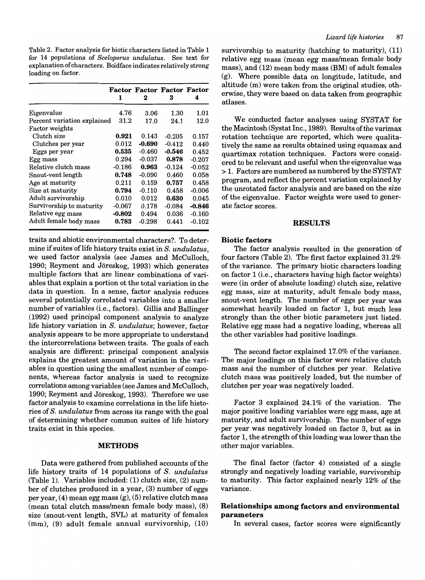Table 2. Factor analysis for biotic characters listed in Table 1 for 14 populations of *Sceloporus undulatus.* See text for explanation of characters. Boldface indicates relatively strong loading on factor.

|                             | 1        | <b>Factor Factor Factor Factor</b><br>2 | 3        | 4        |
|-----------------------------|----------|-----------------------------------------|----------|----------|
| Eigenvalue                  | 4.76     | 3.06                                    | 1.30     | 1.01     |
| Percent variation explained | 31.2     | 17.0                                    | 24.1     | 12.0     |
| Factor weights              |          |                                         |          |          |
| Clutch size                 | 0.921    | 0.143                                   | $-0.205$ | 0.157    |
| Clutches per year           | 0.012    | $-0.690$                                | $-0.412$ | 0.440    |
| Eggs per year               | 0.535    | $-0.460$                                | $-0.546$ | 0.452    |
| Egg mass                    | 0.294    | $-0.037$                                | 0.878    | $-0.207$ |
| Relative clutch mass        | $-0.186$ | 0.963                                   | $-0.124$ | $-0.052$ |
| Snout-vent length           | 0.748    | $-0.090$                                | 0.460    | 0.058    |
| Age at maturity             | 0.211    | 0.159                                   | 0.757    | 0.458    |
| Size at maturity            | 0.794    | $-0.110$                                | 0.458    | $-0.006$ |
| Adult survivorship          | 0.010    | 0.012                                   | 0.630    | 0.045    |
| Survivorship to maturity    | $-0.067$ | 0.178                                   | $-0.084$ | $-0.846$ |
| Relative egg mass           | $-0.802$ | 0.494                                   | 0.036    | $-0.160$ |
| Adult female body mass      | 0.783    | $-0.298$                                | 0.441    | -0.102   |

traits and abiotic environmental characters?. To determine if suites oflife history traits exist in S. *undulatus,*  we used factor analysis (see James and McCulloch, 1990; Reyment and Joreskog, 1993) which generates multiple factors that are linear combinations of variables that explain a portion ot the total variation in the data in question. In a sense, factor analysis reduces several potentially correlated variables into a smaller number of variables (i.e., factors). Gillis and Ballinger (1992) used principal component analysis to analyze life history variation in S. *undulatus;* however, factor analysis appears to be more appropriate to understand the intercorrelations between traits. The goals of each analysis are different: principal component analysis explains the greatest amount of variation in the variables in question using the smallest number of components, whereas factor analysis is used to recognize correlations among variables (see James and McCulloch, 1990; Reyment and Jöreskog, 1993). Therefore we use factor analysis to examine correlations in the life histories of S. *undulatus* from across its range with the goal of determining whether common suites of life history traits exist in this species.

#### METHODS

Data were gathered from published accounts of the life history traits of 14 populations of S. *undulatus*  (Table 1). Variables included: (1) clutch size, (2) number of clutches produced in a year, (3) number of eggs per year, (4) mean egg mass (g); (5) relative clutch mass (mean total clutch mass/mean female body mass), (8) size (snout-vent length, SVL) at maturity of females (mm), (9) adult female annual survivorship, (10) survivorship to maturity (hatching to maturity), (11) relative egg mass (mean egg mass/mean female body mass), and (12) mean body mass (BM) of adult females (g). Where possible data on longitude, latitude, and altitude (m) were taken from the original studies, otherwise, they were based on data taken from geographic atlases.

We conducted factor analyses using SYSTAT for the Macintosh (Systat Inc., 1989). Results of the varimax rotation technique are reported, which were qualitatively the same as results obtained using equamax and quartimax rotation techniques. Factors were considered to be relevant and useful when the eigenvalue was > 1. Factors are numbered as numbered by the SYSTAT program, and reflect the percent variation explained by the unrotated factor analysis and are based on the size of the eigenvalue. Factor weights were used to generate factor scores.

#### RESULTS

#### Biotic factors

The factor analysis resulted in the generation of four factors (Table 2). The first factor explained 31.2% of the variance. The primary biotic characters loading on factor 1 (i.e., characters having high factor weights) were (in order of absolute loading) clutch size, relative egg mass, size at maturity, adult female body mass, snout-vent length. The number of eggs per year was somewhat heavily loaded on factor 1, but much less strongly than the other biotic parameters just listed. Relative egg mass had a negative loading, whereas all the other variables had positive loadings.

The second factor explained 17.0% of the variance. The major loadings on this factor were relative clutch mass and the number of clutches per year. Relative clutch mass was positively loaded, but the number of clutches per year was negatively loaded.

Factor 3 explained 24.1% of the variation. The major positive loading variables were egg mass, age at maturity, and adult survivorship. The number of eggs per year was negatively loaded on factor 3, but as in factor 1, the strength of this loading was lower than the other major variables.

The final factor (factor 4) consisted of a single strongly and negatively loading variable, survivorship to maturity. This factor explained nearly 12% of the variance.

# Relationships among factors and environmental parameters

In several cases, factor scores were significantly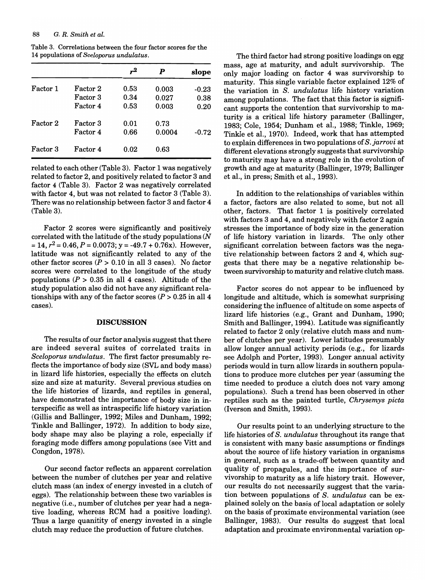#### 88 G. *R. Smith et al.*

Table 3. Correlations between the four factor scores for the 14 populations of *Sceloporus undulatus.* 

|          |          | $\mathbf{r}^2$ | P      | slope   |
|----------|----------|----------------|--------|---------|
| Factor 1 | Factor 2 | 0.53           | 0.003  | $-0.23$ |
|          | Factor 3 | 0.34           | 0.027  | 0.38    |
|          | Factor 4 | 0.53           | 0.003  | 0.20    |
| Factor 2 | Factor 3 | 0.01           | 0.73   |         |
|          | Factor 4 | 0.66           | 0.0004 | $-0.72$ |
| Factor 3 | Factor 4 | 0.02           | 0.63   |         |

related to each other (Table 3). Factor 1 was negatively related to factor 2, and positively related to factor 3 and factor 4 (Table 3). Factor 2 was negatively correlated with factor 4, but was not related to factor 3 (Table 3). There was no relationship between factor 3 and factor 4 (Table 3).

Factor 2 scores were significantly and positively correlated with the latitude of the study populations  $(N)$  $= 14$ ,  $r^2 = 0.46$ ,  $P = 0.0073$ ;  $y = -49.7 + 0.76x$ . However, latitude was not significantly related to any of the other factor scores ( $P > 0.10$  in all 3 cases). No factor scores were correlated to the longitude of the study populations ( $P > 0.35$  in all 4 cases). Altitude of the study population also did not have any significant relationships with any of the factor scores  $(P > 0.25$  in all 4 cases).

#### **DISCUSSION**

The results of our factor analysis suggest that there are indeed several suites of correlated traits in *Seeloporus undulatus.* The first factor presumably reflects the importance of body size (SVL and body mass) in lizard life histories, especially the effects on clutch size and size at maturity. Several previous studies on the life histories of lizards, and reptiles in general, have demonstrated the importance of body size in interspecific as well as intraspecific life history variation (Gillis and Ballinger, 1992; Miles and Dunham, 1992; Tinkle and Ballinger, 1972). In addition to body size, body shape may also be playing a role, especially if foraging mode differs among populations (see Vitt and Congdon, 1978).

Our second factor reflects an apparent correlation between the number of clutches per year and relative clutch mass (an index of energy invested in a clutch of eggs). The relationship between these two variables is negative (i.e., number of clutches per year had a negative loading, whereas RCM had a positive loading). Thus a large quanitity of energy invested in a single clutch may reduce the production of future clutches.

The third factor had strong positive loadings on egg mass, age at maturity, and adult survivorship. The only major loading on factor 4 was survivorship to maturity. This single variable factor explained 12% of the variation in *S. undulatus* life history variation among populations. The fact that this factor is significant supports the contention that survivorship to maturity is a critical life history parameter (Ballinger, 1983; Cole, 1954; Dunham et aI., 1988; Tinkle, 1969; Tinkle et al., 1970). Indeed, work that has attempted to explain differences in two populations of *S. jarrovi* at different elevations strongly suggests that survivorship to maturity may have a strong role in the evolution of growth and age at maturity (Ballinger, 1979; Ballinger et aI., in press; Smith et aI., 1993).

In addition to the relationships of variables within a factor, factors are also related to some, but not all other, factors. That factor 1 is positively correlated with factors 3 and 4, and negatively with factor 2 again stresses the importance of body size in the generation of life history variation in lizards. The only other significant correlation between factors was the negative relationship between factors 2 and 4, which suggests that there may be a negative relationship between survivorship to maturity and relative clutch mass.

Factor scores do not appear to be influenced by longitude and altitude, which is somewhat surprising considering the influence of altitude on some aspects of lizard life histories (e.g., Grant and Dunham, 1990; Smith and Ballinger, 1994). Latitude was significantly related to factor 2 only (relative clutch mass and number of clutches per year). Lower latitudes presumably allow longer annual activity periods (e.g., for lizards see Adolph and Porter, 1993). Longer annual activity periods would in tum allow lizards in southern populations to produce more clutches per year (assuming the time needed to produce a clutch does not vary among populations). Such a trend has been observed in other reptiles such as the painted turtle, *Chrysemys pieta*  (Iverson and Smith, 1993).

Our results point to an underlying structure to the life histories of *S. undulatus* throughout its range that is consistent with many basic assumptions or findings about the source of life history variation in organisms in general, such as a trade-off between quantity and quality of propagules, and the importance of survivorship to maturity as a life history trait. However, our results do not necessarily suggest that the variation between populations of *S. undulatus* can be explained solely on the basis of local adaptation or solely on the basis of proximate environmental variation (see Ballinger, 1983). Our results do suggest that local adaptation and proximate environmental variation op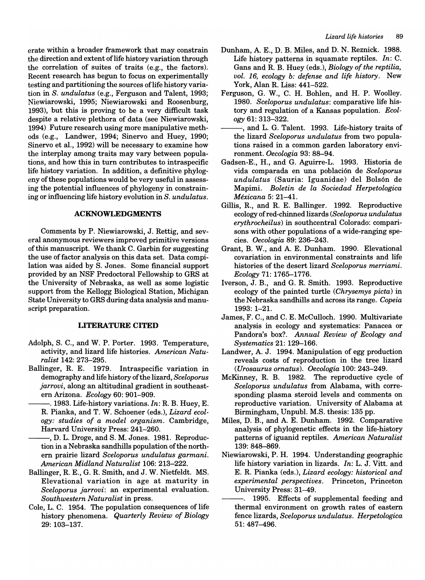erate within a broader framework that may constrain the direction and extent of life history variation through the correlation of suites of traits (e.g., the factors). Recent research has begun to focus on experimentally testing and partitioning the sources of life history variation in S. *undulatus* (e.g., Ferguson and Talent, 1993; Niewiarowski, 1995; Niewiarowski and Roosenburg, 1993), but this is proving to be a very difficult task despite a relative plethora of data (see Niewiarowski, 1994) Future research using more manipulative methods (e.g., Landwer, 1994; Sinervo and Huey, 1990; Sinervo et al., 1992) will be necessary to examine how the interplay among traits may vary between populations, and how this in turn contributes to intraspecific life history variation. In addition, a definitive phylogeny of these populations would be very useful in assessing the potential influences of phylogeny in constraining or influencing life history evolution in S. *undulatus.* 

# **ACKNOWLEDGMENTS**

Comments by P. Niewiarowski, J. Rettig, and several anonymous reviewers improved primitive versions of this manuscript. We thank C. Garbin for suggesting the use of factor analysis on this data set. Data compilation was aided by S. Jones. Some financial support provided by an NSF Predoctoral Fellowship to GRS at the University of Nebraska, as well as some logistic support from the Kellogg Biological Station, Michigan State University to GRS during data analysis and manuscript preparation.

# **UTERATURE CITED**

- Adolph, S. C., and W. P. Porter. 1993. Temperature, activity, and lizard life histories. *American Naturalist* 142: 273-295.
- Ballinger, R. E. 1979. Intraspecific variation in demography and life history of the lizard, *Sceloporus jarrovi,* along an altitudinal gradient in southeastern Arizona. *Ecology* 60: 901-909.
- --. 1983. Life-history variations. *In:* R. B. Huey, E. R. Pianka, and T. W. Schoener (eds.), *Lizard ecology: studies of a model organism.* Cambridge, Harvard University Press: 241-260.
- --, D. L. Droge, and S. M. Jones. 1981. Reproduction in a Nebraska sandhills population of the northern prairie lizard *Sceloporus undulatus garmani. American Midland Naturalist* 106: 213-222.
- Ballinger, R. E., G. R. Smith, and J. W. Nietfeldt. MS. Elevational variation in age at maturity in *Sceloporus jarrovi:* an experimental evaluation. *Southwestern Naturalist* in press.
- Cole, L. C. 1954. The population consequences of life history phenomena. *Quarterly Review of Biology*  29: 103-137.
- Dunham, A. E., D. B. Miles, and D. N. Reznick. 1988. Life history patterns in squamate reptiles. *In:* C. Gans and R. B. Huey (eds.), *Biology of the reptilia, vol.* 16, *ecology b: defense and life history.* New York, Alan R. Liss: 441-522.
- Ferguson, G. W., C. H. Bohlen, and H. P. Woolley. *1980. Sceloporus undulatus:* comparative life history and regulation of a Kansas population. *Ecology 61:313-322.*
- -, and L. G. Talent. 1993. Life-history traits of the lizard *Sceloporus undulatus* from two populations raised in a common garden laboratory environment. *Oecologia* 93: 88-94.
- Gadsen-E., H., and G. Aguirre-L. 1993. Historia de vida comparada en una poblaci6n de *Sceloporus undulatus* (Sauria: Iguanidae) del Bols6n de Mapimi. *Boletin de la Sociedad Herpetologica Mexicana* 5: 21-41.
- Gillis, R., and R. E. Ballinger. 1992. Reproductive ecology of red-chinned lizards *(Sceloporus undulatus erythrocheilus)* in southcentral Colorado: comparisons with other populations of a wide-ranging species. *Oecologia* 89: 236-243.
- Grant, B. W., and A. E. Dunham. 1990. Elevational covariation in environmental constraints and life histories of the desert lizard *Sceloporus merriami. Ecology* 71: 1765-1776.
- Iverson, J. B., and G. R. Smith. 1993. Reproductive ecology of the painted turtle *(Chrysemys picta)* in the Nebraska sandhills and across its range. *Copeia*  1993: 1-21.
- James, F. C., and C. E. McCulloch. 1990. Multivariate analysis in ecology and systematics: Panacea or Pandora's box? *Annual Review of Ecology and Systematics* 21: 129-166.
- Landwer, A. J. 1994. Manipulation of egg production reveals costs of reproduction in the tree lizard *(Urosaurus ornatus). Oecologia* 100: 243-249.
- McKinney, R. B. 1982. The reproductive cycle of *Sceloporus undulatus* from Alabama, with corresponding plasma steroid levels and comments on reproductive variation. University of Alabama at Birmingham, Unpubl. M.S. thesis: 135 pp.
- Miles, D. B., and A. E. Dunham. 1992. Comparative analysis of phylogenetic effects in the life-history patterns of iguanid reptiles. *American Naturalist*  139: 848-869.
- Niewiarowski, P. H. 1994. Understanding geographic life history variation in lizards. *In:* L. J. Vitt. and E. R. Pianka (eds.), *Lizard ecology: historical and experimental perspectives.* Princeton, Princeton University Press: 31-49.
- --. 1995. Effects of supplemental feeding and thermal environment on growth rates of eastern fence lizards, *Sceloporus undulatus. Herpetologica*  51: 487-496.